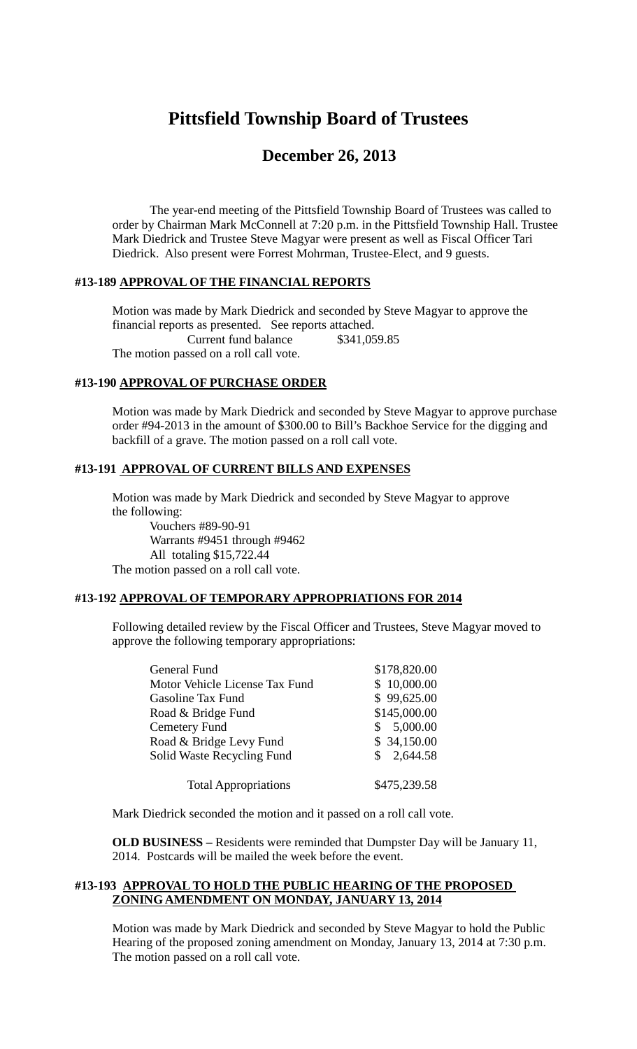# **Pittsfield Township Board of Trustees**

# **December 26, 2013**

The year-end meeting of the Pittsfield Township Board of Trustees was called to order by Chairman Mark McConnell at 7:20 p.m. in the Pittsfield Township Hall. Trustee Mark Diedrick and Trustee Steve Magyar were present as well as Fiscal Officer Tari Diedrick. Also present were Forrest Mohrman, Trustee-Elect, and 9 guests.

### **#13-189 APPROVAL OF THE FINANCIAL REPORTS**

Motion was made by Mark Diedrick and seconded by Steve Magyar to approve the financial reports as presented. See reports attached. Current fund balance \$341,059.85 The motion passed on a roll call vote.

## **#13-190 APPROVAL OF PURCHASE ORDER**

Motion was made by Mark Diedrick and seconded by Steve Magyar to approve purchase order #94-2013 in the amount of \$300.00 to Bill's Backhoe Service for the digging and backfill of a grave. The motion passed on a roll call vote.

#### **#13-191 APPROVAL OF CURRENT BILLS AND EXPENSES**

Motion was made by Mark Diedrick and seconded by Steve Magyar to approve the following:

Vouchers #89-90-91 Warrants #9451 through #9462 All totaling \$15,722.44 The motion passed on a roll call vote.

#### **#13-192 APPROVAL OF TEMPORARY APPROPRIATIONS FOR 2014**

Following detailed review by the Fiscal Officer and Trustees, Steve Magyar moved to approve the following temporary appropriations:

| General Fund                   | \$178,820.00 |
|--------------------------------|--------------|
| Motor Vehicle License Tax Fund | \$10,000.00  |
| <b>Gasoline Tax Fund</b>       | \$99,625.00  |
| Road & Bridge Fund             | \$145,000.00 |
| Cemetery Fund                  | \$5,000.00   |
| Road & Bridge Levy Fund        | \$34,150.00  |
| Solid Waste Recycling Fund     | \$2,644.58   |
| <b>Total Appropriations</b>    | \$475,239.58 |

Mark Diedrick seconded the motion and it passed on a roll call vote.

**OLD BUSINESS –** Residents were reminded that Dumpster Day will be January 11, 2014. Postcards will be mailed the week before the event.

#### **#13-193 APPROVAL TO HOLD THE PUBLIC HEARING OF THE PROPOSED ZONING AMENDMENT ON MONDAY, JANUARY 13, 2014**

Motion was made by Mark Diedrick and seconded by Steve Magyar to hold the Public Hearing of the proposed zoning amendment on Monday, January 13, 2014 at 7:30 p.m. The motion passed on a roll call vote.